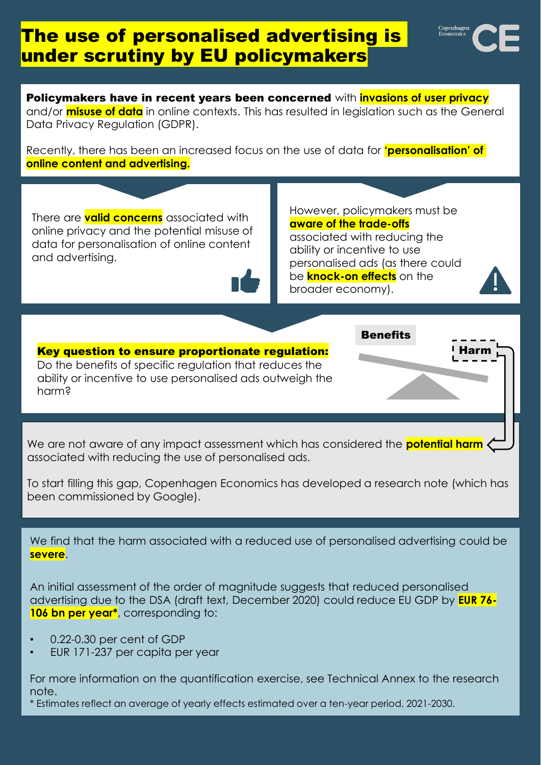# The use of personalised advertising is under scrutiny by EU policymakers

Harm

Policymakers have in recent years been concerned with **invasions of user privacy** and/or **misuse of data** in online contexts. This has resulted in legislation such as the General Data Privacy Regulation (GDPR).

Recently, there has been an increased focus on the use of data for **'personalisation' of online content and advertising.**

There are **valid concerns** associated with online privacy and the potential misuse of data for personalisation of online content and advertising.

However, policymakers must be **aware of the trade-offs** associated with reducing the ability or incentive to use personalised ads (as there could be **knock-on effects** on the broader economy).

**Benefits** 

Key question to ensure proportionate regulation: Do the benefits of specific regulation that reduces the ability or incentive to use personalised ads outweigh the harm?

We are not aware of any impact assessment which has considered the **potential harm** associated with reducing the use of personalised ads.

To start filling this gap, Copenhagen Economics has developed a research note (which has been commissioned by Google).

We find that the harm associated with a reduced use of personalised advertising could be **severe**.

An initial assessment of the order of magnitude suggests that reduced personalised advertising due to the DSA (draft text, December 2020) could reduce EU GDP by **EUR 76- 106 bn per year\***, corresponding to:

- 0.22-0.30 per cent of GDP
- EUR 171-237 per capita per year

For more information on the quantification exercise, see Technical Annex to the research note.

\* Estimates reflect an average of yearly effects estimated over a ten-year period, 2021-2030.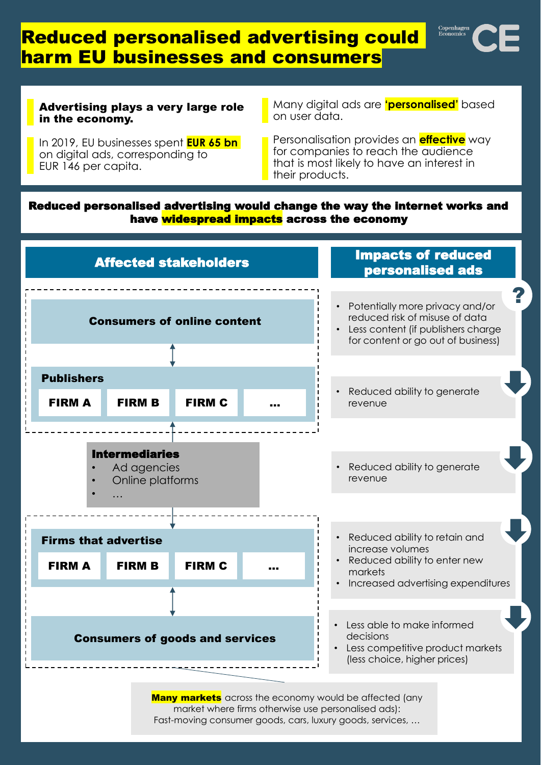### Reduced personalised advertising could harm EU businesses and consumers



#### Advertising plays a very large role in the economy.

In 2019, EU businesses spent **EUR 65 bn**  on digital ads, corresponding to EUR 146 per capita.

Many digital ads are **'personalised'** based on user data.

Personalisation provides an **effective** way for companies to reach the audience that is most likely to have an interest in their products.

### Reduced personalised advertising would change the way the internet works and have widespread impacts across the economy



**Many markets** across the economy would be affected (any market where firms otherwise use personalised ads): Fast-moving consumer goods, cars, luxury goods, services, …